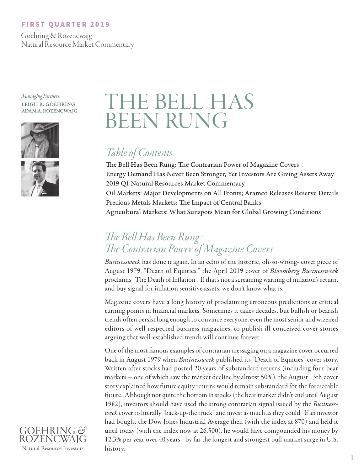### FIRST QUARTER 2019

 Goehring & Rozencwajg Natural Resource Market Commentary

*Managing Partners:*

#### LEIGH R. GOEHRING ADAM A. ROZENCWAJG



# THE BELL HAS BEEN RUNG

# *Table of Contents*

The Bell Has Been Rung: The Contrarian Power of Magazine Covers Energy Demand Has Never Been Stronger, Yet Investors Are Giving Assets Away 2019 Q1 Natural Resources Market Commentary Oil Markets: Major Developments on All Fronts; Aramco Releases Reserve Details Precious Metals Markets: The Impact of Central Banks Agricultural Markets: What Sunspots Mean for Global Growing Conditions

# *The Bell Has Been Rung : The Contrarian Power of Magazine Covers*

*Businessweek* has done it again. In an echo of the historic, oh-so-wrong- cover piece of August 1979, "Death of Equities," the April 2019 cover of *Bloomberg Businessweek* proclaims "The Death of Inflation". If that's not a screaming warning of inflation's return, and buy signal for inflation sensitive assets, we don't know what is.

Magazine covers have a long history of proclaiming erroneous predictions at critical turning points in financial markets. Sometimes it takes decades, but bullish or bearish trends often persist long enough to convince everyone, even the most senior and wizened editors of well-respected business magazines, to publish ill-conceived cover stories arguing that well-established trends will continue forever.

One of the most famous examples of contrarian messaging on a magazine cover occurred back in August 1979 when *Businessweek* published its "Death of Equities" cover story. Written after stocks had posted 20 years of substandard returns (including four bear markets -- one of which saw the market decline by almost 50%), the August 13th cover story explained how future equity returns would remain substandard for the foreseeable future. Although not quite the bottom in stocks (the bear market didn't end until August 1982), investors should have used the strong contrarian signal issued by the *Businessweek* cover to literally "back-up-the truck" and invest as much as they could. If an investor had bought the Dow Jones Industrial Average then (with the index at 870) and held it until today (with the index now at 26,500), he would have compounded his money by 12.3% per year over 40 years - by far the longest and strongest bull market surge in U.S. history.

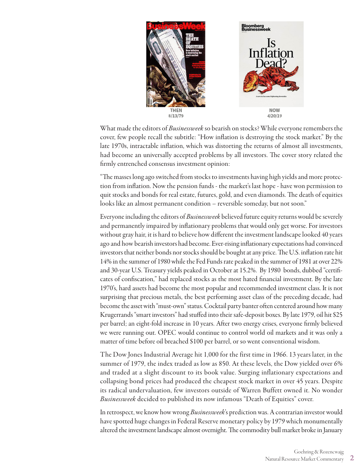

What made the editors of *Businessweek* so bearish on stocks? While everyone remembers the cover, few people recall the subtitle: "How inflation is destroying the stock market." By the late 1970s, intractable inflation, which was distorting the returns of almost all investments, had become an universally accepted problems by all investors. The cover story related the firmly entrenched consensus investment opinion:

"The masses long ago switched from stocks to investments having high yields and more protection from inflation. Now the pension funds - the market's last hope - have won permission to quit stocks and bonds for real estate, futures, gold, and even diamonds. The death of equities looks like an almost permanent condition – reversible someday, but not soon."

Everyone including the editors of *Businessweek* believed future equity returns would be severely and permanently impaired by inflationary problems that would only get worse. For investors without gray hair, it is hard to believe how different the investment landscape looked 40 years ago and how bearish investors had become. Ever-rising inflationary expectations had convinced investors that neither bonds nor stocks should be bought at any price. The U.S. inflation rate hit 14% in the summer of 1980 while the Fed Funds rate peaked in the summer of 1981 at over 22% and 30-year U.S. Treasury yields peaked in October at 15.2%. By 1980 bonds, dubbed "certificates of confiscation," had replaced stocks as the most hated financial investment. By the late 1970's, hard assets had become the most popular and recommended investment class. It is not surprising that precious metals, the best performing asset class of the preceding decade, had become the asset with "must-own" status. Cocktail party banter often centered around how many Krugerrands "smart investors" had stuffed into their safe-deposit boxes. By late 1979, oil hit \$25 per barrel; an eight-fold increase in 10 years. After two energy crises, everyone firmly believed we were running out. OPEC would continue to control world oil markets and it was only a matter of time before oil breached \$100 per barrel, or so went conventional wisdom.

The Dow Jones Industrial Average hit 1,000 for the first time in 1966. 13 years later, in the summer of 1979, the index traded as low as 850. At these levels, the Dow yielded over 6% and traded at a slight discount to its book value. Surging inflationary expectations and collapsing bond prices had produced the cheapest stock market in over 45 years. Despite its radical undervaluation, few investors outside of Warren Buffett owned it. No wonder *Businessweek* decided to published its now infamous "Death of Equities" cover.

In retrospect, we know how wrong *Businessweek*'s prediction was. A contrarian investor would have spotted huge changes in Federal Reserve monetary policy by 1979 which monumentally altered the investment landscape almost overnight. The commodity bull market broke in January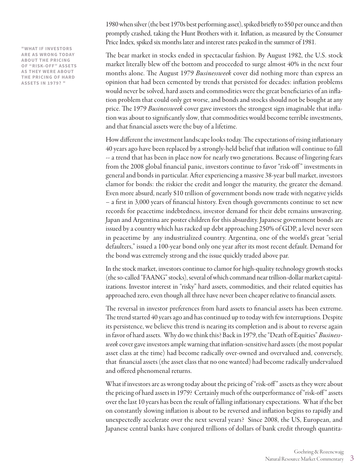**"WHAT IF INVESTORS ARE AS WRONG TODAY ABOUT THE PRICING OF "RISK-OFF" ASSETS AS THEY WERE ABOUT THE PRICING OF HARD ASSETS IN 1979? "**

1980 when silver (the best 1970s best performing asset), spiked briefly to \$50 per ounce and then promptly crashed, taking the Hunt Brothers with it. Inflation, as measured by the Consumer Price Index, spiked six months later and interest rates peaked in the summer of 1981.

The bear market in stocks ended in spectacular fashion. By August 1982, the U.S. stock market literally blew off the bottom and proceeded to surge almost 40% in the next four months alone. The August 1979 *Businessweek* cover did nothing more than express an opinion that had been cemented by trends that persisted for decades: inflation problems would never be solved, hard assets and commodities were the great beneficiaries of an inflation problem that could only get worse, and bonds and stocks should not be bought at any price. The 1979 *Businessweek* cover gave investors the strongest sign imaginable that inflation was about to significantly slow, that commodities would become terrible investments, and that financial assets were the buy of a lifetime.

How different the investment landscape looks today. The expectations of rising inflationary 40 years ago have been replaced by a strongly-held belief that inflation will continue to fall -- a trend that has been in place now for nearly two generations. Because of lingering fears from the 2008 global financial panic, investors continue to favor "risk-off" investments in general and bonds in particular. After experiencing a massive 38-year bull market, investors clamor for bonds: the riskier the credit and longer the maturity, the greater the demand. Even more absurd, nearly \$10 trillion of government bonds now trade with negative yields – a first in 3,000 years of financial history. Even though governments continue to set new records for peacetime indebtedness, investor demand for their debt remains unwavering. Japan and Argentina are poster children for this absurdity. Japanese government bonds are issued by a country which has racked up debt approaching 250% of GDP, a level never seen in peacetime by any industrialized country. Argentina, one of the world's great "serial defaulters," issued a 100-year bond only one year after its most recent default. Demand for the bond was extremely strong and the issue quickly traded above par.

In the stock market, investors continue to clamor for high-quality technology growth stocks (the so-called "FAANG" stocks), several of which command near trillion-dollar market capitalizations. Investor interest in "risky" hard assets, commodities, and their related equities has approached zero, even though all three have never been cheaper relative to financial assets.

The reversal in investor preferences from hard assets to financial assets has been extreme. The trend started 40 years ago and has continued up to today with few interruptions. Despite its persistence, we believe this trend is nearing its completion and is about to reverse again in favor of hard assets. Why do we think this? Back in 1979, the "Death of Equities" *Businessweek* cover gave investors ample warning that inflation-sensitive hard assets (the most popular asset class at the time) had become radically over-owned and overvalued and, conversely, that financial assets (the asset class that no one wanted) had become radically undervalued and offered phenomenal returns.

What if investors are as wrong today about the pricing of "risk-off" assets as they were about the pricing of hard assets in 1979? Certainly much of the outperformance of "risk-off " assets over the last 10 years has been the result of falling inflationary expectations. What if the bet on constantly slowing inflation is about to be reversed and inflation begins to rapidly and unexpectedly accelerate over the next several years? Since 2008, the US, European, and Japanese central banks have conjured trillions of dollars of bank credit through quantita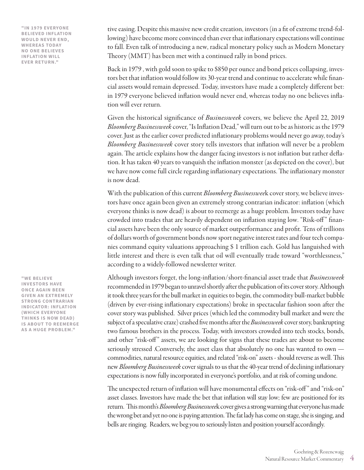**"IN 1979 EVERYONE BELIEVED INFLATION WOULD NEVER END, WHEREAS TODAY NO ONE BELIEVES INFLATION WILL EVER RETURN."**

tive easing. Despite this massive new credit creation, investors (in a fit of extreme trend-following) have become more convinced than ever that inflationary expectations will continue to fall. Even talk of introducing a new, radical monetary policy such as Modern Monetary Theory (MMT) has been met with a continued rally in bond prices.

Back in 1979 , with gold soon to spike to \$850 per ounce and bond prices collapsing, investors bet that inflation would follow its 30-year trend and continue to accelerate while financial assets would remain depressed. Today, investors have made a completely different bet: in 1979 everyone believed inflation would never end, whereas today no one believes inflation will ever return.

Given the historical significance of *Businessweek* covers, we believe the April 22, 2019 *Bloomberg Businessweek* cover, "Is Inflation Dead," will turn out to be as historic as the 1979 cover. Just as the earlier cover predicted inflationary problems would never go away, today's *Bloomberg Businessweek* cover story tells investors that inflation will never be a problem again. The article explains how the danger facing investors is not inflation but rather deflation. It has taken 40 years to vanquish the inflation monster (as depicted on the cover), but we have now come full circle regarding inflationary expectations. The inflationary monster is now dead.

With the publication of this current *Bloomberg Businesswee*k cover story, we believe investors have once again been given an extremely strong contrarian indicator: inflation (which everyone thinks is now dead) is about to reemerge as a huge problem. Investors today have crowded into trades that are heavily dependent on inflation staying low. "Risk-off" financial assets have been the only source of market outperformance and profit. Tens of trillions of dollars worth of government bonds now sport negative interest rates and four tech companies command equity valuations approaching \$ 1 trillion each. Gold has languished with little interest and there is even talk that oil will eventually trade toward "worthlessness," according to a widely-followed newsletter writer.

Although investors forget, the long-inflation/short-financial asset trade that *Businessweek* recommended in 1979 began to unravel shortly after the publication of its cover story. Although it took three years for the bull market in equities to begin, the commodity bull-market bubble (driven by ever-rising inflationary expectations) broke in spectacular fashion soon after the cover story was published. Silver prices (which led the commodity bull market and were the subject of a speculative craze) crashed five months after the *Businessweek* cover story, bankrupting two famous brothers in the process. Today, with investors crowded into tech stocks, bonds, and other "risk-off " assets, we are looking for signs that these trades are about to become seriously stressed .Conversely, the asset class that absolutely no one has wanted to own commodities, natural resource equities, and related "risk-on" assets - should reverse as well. This new *Bloomberg Businessweek* cover signals to us that the 40-year trend of declining inflationary expectations is now fully incorporated in everyone's portfolio, and at risk of coming undone.

The unexpected return of inflation will have monumental effects on "risk-off " and "risk-on" asset classes. Investors have made the bet that inflation will stay low; few are positioned for its return. This month's *Bloomberg Businesswee*k cover gives a strong warning that everyone has made the wrong bet and yet no one is paying attention. The fat lady has come on stage, she is singing, and bells are ringing. Readers, we beg you to seriously listen and position yourself accordingly.

**"WE BELIEVE INVESTORS HAVE ONCE AGAIN BEEN GIVEN AN EXTREMELY STRONG CONTRARIAN INDICATOR: INFLATION (WHICH EVERYONE THINKS IS NOW DEAD) IS ABOUT TO REEMERGE AS A HUGE PROBLEM."**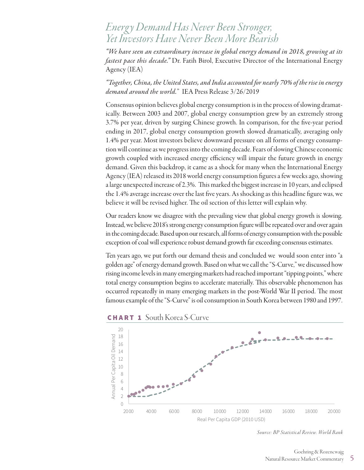## *Energ y Demand Has Never Been Stronger, Yet Investors Have Never Been More Bearish*

*"We have seen an extraordinary increase in global energy demand in 2018, growing at its fastest pace this decade."* Dr. Fatih Birol, Executive Director of the International Energy Agency (IEA)

*"Together, China, the United States, and India accounted for nearly 70% of the rise in energy demand around the world.*" IEA Press Release 3/26/2019

Consensus opinion believes global energy consumption is in the process of slowing dramatically. Between 2003 and 2007, global energy consumption grew by an extremely strong 3.7% per year, driven by surging Chinese growth. In comparison, for the five-year period ending in 2017, global energy consumption growth slowed dramatically, averaging only 1.4% per year. Most investors believe downward pressure on all forms of energy consumption will continue as we progress into the coming decade. Fears of slowing Chinese economic growth coupled with increased energy efficiency will impair the future growth in energy demand. Given this backdrop, it came as a shock for many when the International Energy Agency (IEA) released its 2018 world energy consumption figures a few weeks ago, showing a large unexpected increase of 2.3%. This marked the biggest increase in 10 years, and eclipsed the 1.4% average increase over the last five years. As shocking as this headline figure was, we believe it will be revised higher. The oil section of this letter will explain why.

Our readers know we disagree with the prevailing view that global energy growth is slowing. Instead, we believe 2018's strong energy consumption figure will be repeated over and over again in the coming decade. Based upon our research, all forms of energy consumption with the possible exception of coal will experience robust demand growth far exceeding consensus estimates.

Ten years ago, we put forth our demand thesis and concluded we would soon enter into "a golden age" of energy demand growth. Based on what we call the "S-Curve," we discussed how rising income levels in many emerging markets had reached important "tipping points," where total energy consumption begins to accelerate materially. This observable phenomenon has occurred repeatedly in many emerging markets in the post-World War II period. The most famous example of the "S-Curve" is oil consumption in South Korea between 1980 and 1997.



CHART 1 South Korea S-Curve

*Source: BP Statistical Review. World Bank*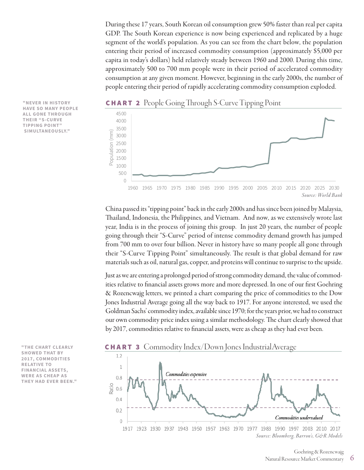During these 17 years, South Korean oil consumption grew 50% faster than real per capita GDP. The South Korean experience is now being experienced and replicated by a huge segment of the world's population. As you can see from the chart below, the population entering their period of increased commodity consumption (approximately \$5,000 per capita in today's dollars) held relatively steady between 1960 and 2000. During this time, approximately 500 to 700 mm people were in their period of accelerated commodity consumption at any given moment. However, beginning in the early 2000s, the number of people entering their period of rapidly accelerating commodity consumption exploded.

**CHART 2** People Going Through S-Curve Tipping Point



China passed its "tipping point" back in the early 2000s and has since been joined by Malaysia, Thailand, Indonesia, the Philippines, and Vietnam. And now, as we extensively wrote last year, India is in the process of joining this group. In just 20 years, the number of people going through their "S-Curve" period of intense commodity demand growth has jumped from 700 mm to over four billion. Never in history have so many people all gone through their "S-Curve Tipping Point" simultaneously. The result is that global demand for raw materials such as oil, natural gas, copper, and proteins will continue to surprise to the upside.

Just as we are entering a prolonged period of strong commodity demand, the value of commodities relative to financial assets grows more and more depressed. In one of our first Goehring & Rozencwajg letters, we printed a chart comparing the price of commodities to the Dow Jones Industrial Average going all the way back to 1917. For anyone interested, we used the Goldman Sachs' commodity index, available since 1970; for the years prior, we had to construct our own commodity price index using a similar methodology. The chart clearly showed that by 2017, commodities relative to financial assets, were as cheap as they had ever been.



### CHART 3 Commodity Index/Down Jones IndustrialAverage



**"NEVER IN HISTORY HAVE SO MANY PEOPLE ALL GONE THROUGH THEIR "S-CURVE TIPPING POINT" SIMULTANEOUSLY."**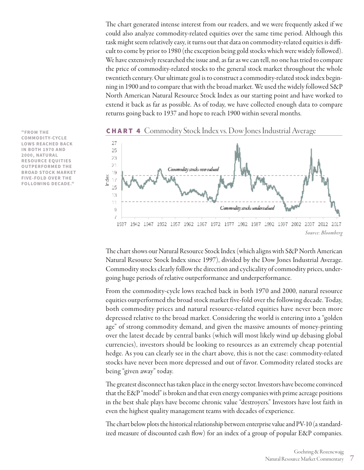The chart generated intense interest from our readers, and we were frequently asked if we could also analyze commodity-related equities over the same time period. Although this task might seem relatively easy, it turns out that data on commodity-related equities is difficult to come by prior to 1980 (the exception being gold stocks which were widely followed). We have extensively researched the issue and, as far as we can tell, no one has tried to compare the price of commodity-related stocks to the general stock market throughout the whole twentieth century. Our ultimate goal is to construct a commodity-related stock index beginning in 1900 and to compare that with the broad market. We used the widely followed S&P North American Natural Resource Stock Index as our starting point and have worked to extend it back as far as possible. As of today, we have collected enough data to compare returns going back to 1937 and hope to reach 1900 within several months.

**"FROM THE COMMODITY-CYCLE** 27 **LOWS REACHED BACK IN BOTH 1970 AND** 25 **2000, NATURAL**  23 **RESOURCE EQUITIES**  $\overline{21}$ **OUTPERFORMED THE BROAD STOCK MARKET**  19 Index **FIVE-FOLD OVER THE**   $17$ **FOLLOWING DECADE."**15





*Source: Bloomberg*

The chart shows our Natural Resource Stock Index (which aligns with S&P North American Natural Resource Stock Index since 1997), divided by the Dow Jones Industrial Average. Commodity stocks clearly follow the direction and cyclicality of commodity prices, undergoing huge periods of relative outperformance and underperformance.

From the commodity-cycle lows reached back in both 1970 and 2000, natural resource equities outperformed the broad stock market five-fold over the following decade. Today, both commodity prices and natural resource-related equities have never been more depressed relative to the broad market. Considering the world is entering into a "golden age" of strong commodity demand, and given the massive amounts of money-printing over the latest decade by central banks (which will most likely wind up debasing global currencies), investors should be looking to resources as an extremely cheap potential hedge. As you can clearly see in the chart above, this is not the case: commodity-related stocks have never been more depressed and out of favor. Commodity related stocks are being "given away" today.

The greatest disconnect has taken place in the energy sector. Investors have become convinced that the E&P "model" is broken and that even energy companies with prime acreage positions in the best shale plays have become chronic value "destroyers." Investors have lost faith in even the highest quality management teams with decades of experience.

The chart below plots the historical relationship between enterprise value and PV-10 (a standardized measure of discounted cash flow) for an index of a group of popular E&P companies.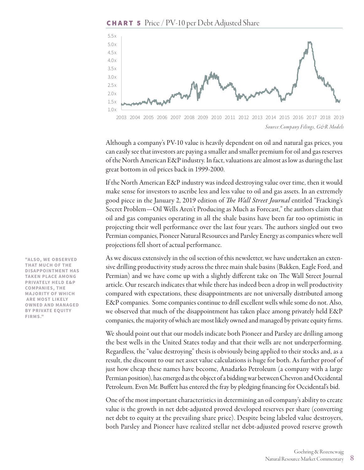**CHART 5** Price / PV-10 per Debt Adjusted Share



*Source:Company Filings, G&R Models* 2003 2004 2005 2006 2007 2008 2009 2010 2011 2012 2013 2014 2015 2016 2017 2018 2019

Although a company's PV-10 value is heavily dependent on oil and natural gas prices, you can easily see that investors are paying a smaller and smaller premium for oil and gas reserves of the North American E&P industry. In fact, valuations are almost as low as during the last great bottom in oil prices back in 1999-2000.

If the North American E&P industry was indeed destroying value over time, then it would make sense for investors to ascribe less and less value to oil and gas assets. In an extremely good piece in the January 2, 2019 edition of *The Wall Street Journal* entitled "Fracking's Secret Problem—Oil Wells Aren't Producing as Much as Forecast," the authors claim that oil and gas companies operating in all the shale basins have been far too optimistic in projecting their well performance over the last four years. The authors singled out two Permian companies, Pioneer Natural Resources and Parsley Energy as companies where well projections fell short of actual performance.

As we discuss extensively in the oil section of this newsletter, we have undertaken an extensive drilling productivity study across the three main shale basins (Bakken, Eagle Ford, and Permian) and we have come up with a slightly different take on The Wall Street Journal article. Our research indicates that while there has indeed been a drop in well productivity compared with expectations, these disappointments are not universally distributed among E&P companies. Some companies continue to drill excellent wells while some do not. Also, we observed that much of the disappointment has taken place among privately held E&P companies, the majority of which are most likely owned and managed by private equity firms.

We should point out that our models indicate both Pioneer and Parsley are drilling among the best wells in the United States today and that their wells are not underperforming. Regardless, the "value destroying" thesis is obviously being applied to their stocks and, as a result, the discount to our net asset value calculations is huge for both. As further proof of just how cheap these names have become, Anadarko Petroleum (a company with a large Permian position), has emerged as the object of a bidding war between Chevron and Occidental Petroleum. Even Mr. Buffett has entered the fray by pledging financing for Occidental's bid.

One of the most important characteristics in determining an oil company's ability to create value is the growth in net debt-adjusted proved developed reserves per share (converting net debt to equity at the prevailing share price). Despite being labeled value destroyers, both Parsley and Pioneer have realized stellar net debt-adjusted proved reserve growth

**"ALSO, WE OBSERVED THAT MUCH OF THE DISAPPOINTMENT HAS TAKEN PLACE AMONG PRIVATELY HELD E&P COMPANIES, THE MAJORITY OF WHICH ARE MOST LIKELY OWNED AND MANAGED BY PRIVATE EQUITY FIRMS."**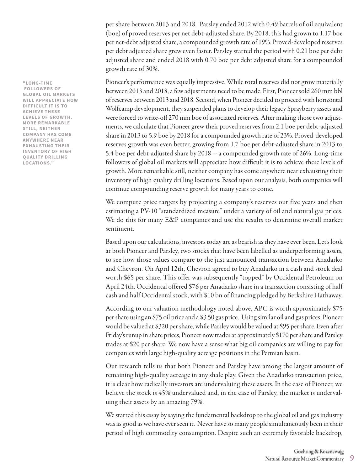per share between 2013 and 2018. Parsley ended 2012 with 0.49 barrels of oil equivalent (boe) of proved reserves per net debt-adjusted share. By 2018, this had grown to 1.17 boe per net-debt adjusted share, a compounded growth rate of 19%. Proved-developed reserves per debt adjusted share grew even faster. Parsley started the period with 0.21 boe per debt adjusted share and ended 2018 with 0.70 boe per debt adjusted share for a compounded growth rate of 30%.

Pioneer's performance was equally impressive. While total reserves did not grow materially between 2013 and 2018, a few adjustments need to be made. First, Pioneer sold 260 mm bbl of reserves between 2013 and 2018. Second, when Pioneer decided to proceed with horizontal Wolfcamp development, they suspended plans to develop their legacy Sprayberry assets and were forced to write-off 270 mm boe of associated reserves. After making those two adjustments, we calculate that Pioneer grew their proved reserves from 2.1 boe per debt-adjusted share in 2013 to 5.9 boe by 2018 for a compounded growth rate of 23%. Proved-developed reserves growth was even better, growing from 1.7 boe per debt-adjusted share in 2013 to 5.4 boe per debt-adjusted share by 2018 -- a compounded growth rate of 26%. Long-time followers of global oil markets will appreciate how difficult it is to achieve these levels of growth. More remarkable still, neither company has come anywhere near exhausting their inventory of high quality drilling locations. Based upon our analysis, both companies will continue compounding reserve growth for many years to come. FORD THE COMPRESSION CONTENT IS THE COMPRESSION CONTENT USE COMPRESSION (COMPRESSION COMPRESSION COMPRESSION COMPRESSION COMPRESSION COMPRESSION COMPRESSION COMPRESSION COMPRESSION COMPRESSION COMPRESSION COMPRESSION COMPR

We compute price targets by projecting a company's reserves out five years and then estimating a PV-10 "standardized measure" under a variety of oil and natural gas prices. We do this for many E&P companies and use the results to determine overall market sentiment.

Based upon our calculations, investors today are as bearish as they have ever been. Let's look at both Pioneer and Parsley, two stocks that have been labelled as underperforming assets, to see how those values compare to the just announced transaction between Anadarko and Chevron. On April 12th, Chevron agreed to buy Anadarko in a cash and stock deal worth \$65 per share. This offer was subsequently "topped" by Occidental Petroleum on April 24th. Occidental offered \$76 per Anadarko share in a transaction consisting of half cash and half Occidental stock, with \$10 bn of financing pledged by Berkshire Hathaway.

According to our valuation methodology noted above, APC is worth approximately \$75 per share using an \$75 oil price and a \$3.50 gas price. Using similar oil and gas prices, Pioneer would be valued at \$320 per share, while Parsley would be valued at \$95 per share. Even after Friday's runup in share prices, Pioneer now trades at approximately \$170 per share and Parsley trades at \$20 per share. We now have a sense what big oil companies are willing to pay for companies with large high-quality acreage positions in the Permian basin.

Our research tells us that both Pioneer and Parsley have among the largest amount of remaining high-quality acreage in any shale play. Given the Anadarko transaction price, it is clear how radically investors are undervaluing these assets. In the case of Pioneer, we believe the stock is 45% undervalued and, in the case of Parsley, the market is undervaluing their assets by an amazing 79%.

We started this essay by saying the fundamental backdrop to the global oil and gas industry was as good as we have ever seen it. Never have so many people simultaneously been in their period of high commodity consumption. Despite such an extremely favorable backdrop,

 **FOLLOWERS OF GLOBAL OIL MARKETS WILL APPRECIATE HOW DIFFICULT IT IS TO ACHIEVE THESE LEVELS OF GROWTH. MORE REMARKABLE STILL, NEITHER COMPANY HAS COME ANYWHERE NEAR EXHAUSTING THEIR INVENTORY OF HIGH QUALITY DRILLING LOCATIONS."**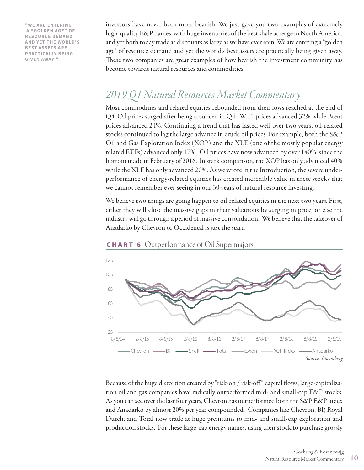**"WE ARE ENTERING A "GOLDEN AGE" OF RESOURCE DEMAND AND YET THE WORLD'S BEST ASSETS ARE PRACTICALLY BEING GIVEN AWAY "**

investors have never been more bearish. We just gave you two examples of extremely high-quality E&P names, with huge inventories of the best shale acreage in North America, and yet both today trade at discounts as large as we have ever seen. We are entering a "golden age" of resource demand and yet the world's best assets are practically being given away. These two companies are great examples of how bearish the investment community has become towards natural resources and commodities.

# *2019 Q1 Natural Resources Market Commentary*

Most commodities and related equities rebounded from their lows reached at the end of Q4. Oil prices surged after being trounced in Q4. WTI prices advanced 32% while Brent prices advanced 24%. Continuing a trend that has lasted well over two years, oil-related stocks continued to lag the large advance in crude oil prices. For example, both the S&P Oil and Gas Exploration Index (XOP) and the XLE (one of the mostly popular energy related ETFs) advanced only 17%. Oil prices have now advanced by over 140%, since the bottom made in February of 2016. In stark comparison, the XOP has only advanced 40% while the XLE has only advanced 20%. As we wrote in the Introduction, the severe underperformance of energy-related equities has created incredible value in these stocks that we cannot remember ever seeing in our 30 years of natural resource investing.

We believe two things are going happen to oil-related equities in the next two years. First, either they will close the massive gaps in their valuations by surging in price, or else the industry will go through a period of massive consolidation. We believe that the takeover of Anadarko by Chevron or Occidental is just the start.



CHART 6 Outperformance of Oil Supermajors

Because of the huge distortion created by "risk-on / risk-off " capital flows, large-capitalization oil and gas companies have radically outperformed mid- and small-cap E&P stocks. As you can see over the last four years, Chevron has outperformed both the S&P E&P index and Anadarko by almost 20% per year compounded. Companies like Chevron, BP, Royal Dutch, and Total now trade at huge premiums to mid- and small-cap exploration and production stocks. For these large-cap energy names, using their stock to purchase grossly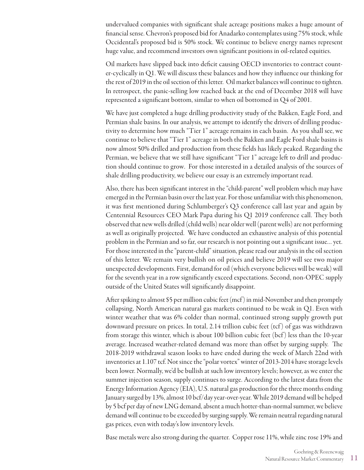undervalued companies with significant shale acreage positions makes a huge amount of financial sense. Chevron's proposed bid for Anadarko contemplates using 75% stock, while Occidental's proposed bid is 50% stock. We continue to believe energy names represent huge value, and recommend investors own significant positions in oil-related equities.

Oil markets have slipped back into deficit causing OECD inventories to contract counter-cyclically in Q1. We will discuss these balances and how they influence our thinking for the rest of 2019 in the oil section of this letter. Oil market balances will continue to tighten. In retrospect, the panic-selling low reached back at the end of December 2018 will have represented a significant bottom, similar to when oil bottomed in Q4 of 2001.

We have just completed a huge drilling productivity study of the Bakken, Eagle Ford, and Permian shale basins. In our analysis, we attempt to identify the drivers of drilling productivity to determine how much "Tier 1" acreage remains in each basin. As you shall see, we continue to believe that "Tier 1" acreage in both the Bakken and Eagle Ford shale basins is now almost 50% drilled and production from these fields has likely peaked. Regarding the Permian, we believe that we still have significant "Tier 1" acreage left to drill and production should continue to grow. For those interested in a detailed analysis of the sources of shale drilling productivity, we believe our essay is an extremely important read.

Also, there has been significant interest in the "child-parent" well problem which may have emerged in the Permian basin over the last year. For those unfamiliar with this phenomenon, it was first mentioned during Schlumberger's Q3 conference call last year and again by Centennial Resources CEO Mark Papa during his Q1 2019 conference call. They both observed that new wells drilled (child wells) near older well (parent wells) are not performing as well as originally projected. We have conducted an exhaustive analysis of this potential problem in the Permian and so far, our research is not pointing out a significant issue… yet. For those interested in the "parent-child" situation, please read our analysis in the oil section of this letter. We remain very bullish on oil prices and believe 2019 will see two major unexpected developments. First, demand for oil (which everyone believes will be weak) will for the seventh year in a row significantly exceed expectations. Second, non-OPEC supply outside of the United States will significantly disappoint.

After spiking to almost \$5 per million cubic feet (mcf ) in mid-November and then promptly collapsing, North American natural gas markets continued to be weak in Q1. Even with winter weather that was 6% colder than normal, continued strong supply growth put downward pressure on prices. In total, 2.14 trillion cubic feet (tcf ) of gas was withdrawn from storage this winter, which is about 100 billion cubic feet (bcf ) less than the 10-year average. Increased weather-related demand was more than offset by surging supply. The 2018-2019 withdrawal season looks to have ended during the week of March 22nd with inventories at 1.107 tcf. Not since the "polar vortex" winter of 2013-2014 have storage levels been lower. Normally, we'd be bullish at such low inventory levels; however, as we enter the summer injection season, supply continues to surge. According to the latest data from the Energy Information Agency (EIA), U.S. natural gas production for the three months ending January surged by 13%, almost 10 bcf/day year-over-year. While 2019 demand will be helped by 5 bcf per day of new LNG demand, absent a much hotter-than-normal summer, we believe demand will continue to be exceeded by surging supply. We remain neutral regarding natural gas prices, even with today's low inventory levels.

Base metals were also strong during the quarter. Copper rose 11%, while zinc rose 19% and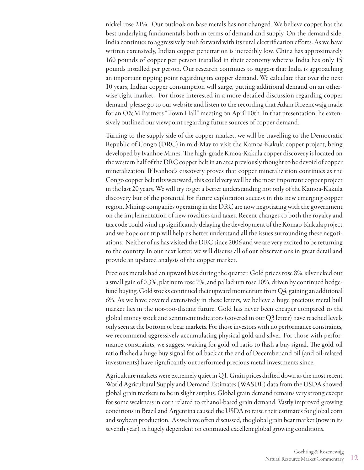nickel rose 21%. Our outlook on base metals has not changed. We believe copper has the best underlying fundamentals both in terms of demand and supply. On the demand side, India continues to aggressively push forward with its rural electrification efforts. As we have written extensively, Indian copper penetration is incredibly low. China has approximately 160 pounds of copper per person installed in their economy whereas India has only 15 pounds installed per person. Our research continues to suggest that India is approaching an important tipping point regarding its copper demand. We calculate that over the next 10 years, Indian copper consumption will surge, putting additional demand on an otherwise tight market. For those interested in a more detailed discussion regarding copper demand, please go to our website and listen to the recording that Adam Rozencwajg made for an O&M Partners "Town Hall" meeting on April 10th. In that presentation, he extensively outlined our viewpoint regarding future sources of copper demand.

Turning to the supply side of the copper market, we will be travelling to the Democratic Republic of Congo (DRC) in mid-May to visit the Kamoa-Kakula copper project, being developed by Ivanhoe Mines. The high-grade Kmoa-Kakula copper discovery is located on the western half of the DRC copper belt in an area previously thought to be devoid of copper mineralization. If Ivanhoe's discovery proves that copper mineralization continues as the Congo copper belt tilts westward, this could very well be the most important copper project in the last 20 years. We will try to get a better understanding not only of the Kamoa-Kakula discovery but of the potential for future exploration success in this new emerging copper region. Mining companies operating in the DRC are now negotiating with the government on the implementation of new royalties and taxes. Recent changes to both the royalty and tax code could wind up significantly delaying the development of the Komao-Kukula project and we hope our trip will help us better understand all the issues surrounding these negotiations. Neither of us has visited the DRC since 2006 and we are very excited to be returning to the country. In our next letter, we will discuss all of our observations in great detail and provide an updated analysis of the copper market.

Precious metals had an upward bias during the quarter. Gold prices rose 8%, silver eked out a small gain of 0.3%, platinum rose 7%, and palladium rose 10%, driven by continued hedgefund buying. Gold stocks continued their upward momentum from Q4, gaining an additional 6%. As we have covered extensively in these letters, we believe a huge precious metal bull market lies in the not-too-distant future. Gold has never been cheaper compared to the global money stock and sentiment indicators (covered in our Q3 letter) have reached levels only seen at the bottom of bear markets. For those investors with no performance constraints, we recommend aggressively accumulating physical gold and silver. For those with performance constraints, we suggest waiting for gold-oil ratio to flash a buy signal. The gold-oil ratio flashed a huge buy signal for oil back at the end of December and oil (and oil-related investments) have significantly outperformed precious metal investments since.

Agriculture markets were extremely quiet in Q1. Grain prices drifted down as the most recent World Agricultural Supply and Demand Estimates (WASDE) data from the USDA showed global grain markets to be in slight surplus. Global grain demand remains very strong except for some weakness in corn related to ethanol-based grain demand. Vastly improved growing conditions in Brazil and Argentina caused the USDA to raise their estimates for global corn and soybean production. As we have often discussed, the global grain bear market (now in its seventh year), is hugely dependent on continued excellent global growing conditions.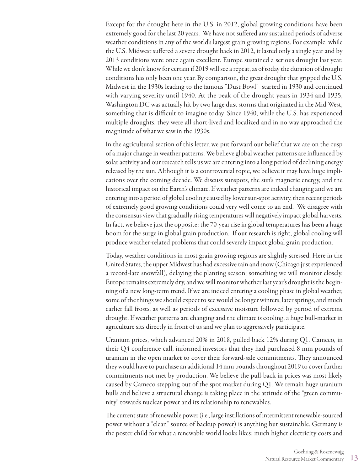Except for the drought here in the U.S. in 2012, global growing conditions have been extremely good for the last 20 years. We have not suffered any sustained periods of adverse weather conditions in any of the world's largest grain growing regions. For example, while the U.S. Midwest suffered a severe drought back in 2012, it lasted only a single year and by 2013 conditions were once again excellent. Europe sustained a serious drought last year. While we don't know for certain if 2019 will see a repeat, as of today the duration of drought conditions has only been one year. By comparison, the great drought that gripped the U.S. Midwest in the 1930s leading to the famous "Dust Bowl" started in 1930 and continued with varying severity until 1940. At the peak of the drought years in 1934 and 1935, Washington DC was actually hit by two large dust storms that originated in the Mid-West, something that is difficult to imagine today. Since 1940, while the U.S. has experienced multiple droughts, they were all short-lived and localized and in no way approached the magnitude of what we saw in the 1930s.

In the agricultural section of this letter, we put forward our belief that we are on the cusp of a major change in weather patterns. We believe global weather patterns are influenced by solar activity and our research tells us we are entering into a long period of declining energy released by the sun. Although it is a controversial topic, we believe it may have huge implications over the coming decade. We discuss sunspots, the sun's magnetic energy, and the historical impact on the Earth's climate. If weather patterns are indeed changing and we are entering into a period of global cooling caused by lower sun-spot activity, then recent periods of extremely good growing conditions could very well come to an end. We disagree with the consensus view that gradually rising temperatures will negatively impact global harvests. In fact, we believe just the opposite: the 70-year rise in global temperatures has been a huge boom for the surge in global grain production. If our research is right, global cooling will produce weather-related problems that could severely impact global grain production.

Today, weather conditions in most grain growing regions are slightly stressed. Here in the United States, the upper Midwest has had excessive rain and snow (Chicago just experienced a record-late snowfall), delaying the planting season; something we will monitor closely. Europe remains extremely dry, and we will monitor whether last year's drought is the beginning of a new long-term trend. If we are indeed entering a cooling phase in global weather, some of the things we should expect to see would be longer winters, later springs, and much earlier fall frosts, as well as periods of excessive moisture followed by period of extreme drought. If weather patterns are changing and the climate is cooling, a huge bull-market in agriculture sits directly in front of us and we plan to aggressively participate.

Uranium prices, which advanced 20% in 2018, pulled back 12% during Q1. Cameco, in their Q4 conference call, informed investors that they had purchased 8 mm pounds of uranium in the open market to cover their forward-sale commitments. They announced they would have to purchase an additional 14 mm pounds throughout 2019 to cover further commitments not met by production. We believe the pull-back in prices was most likely caused by Cameco stepping out of the spot market during Q1. We remain huge uranium bulls and believe a structural change is taking place in the attitude of the "green community" towards nuclear power and its relationship to renewables.

The current state of renewable power (i.e., large instillations of intermittent renewable-sourced power without a "clean" source of backup power) is anything but sustainable. Germany is the poster child for what a renewable world looks likes: much higher electricity costs and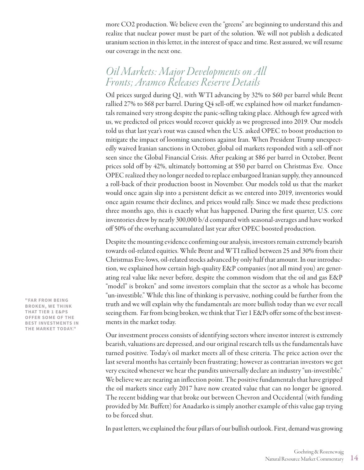more CO2 production. We believe even the "greens" are beginning to understand this and realize that nuclear power must be part of the solution. We will not publish a dedicated uranium section in this letter, in the interest of space and time. Rest assured, we will resume our coverage in the next one.

## *Oil Markets: Major Developments on All Fronts; Aramco Releases Reserve Details*

Oil prices surged during Q1, with WTI advancing by 32% to \$60 per barrel while Brent rallied 27% to \$68 per barrel. During Q4 sell-off, we explained how oil market fundamentals remained very strong despite the panic-selling taking place. Although few agreed with us, we predicted oil prices would recover quickly as we progressed into 2019. Our models told us that last year's rout was caused when the U.S. asked OPEC to boost production to mitigate the impact of looming sanctions against Iran. When President Trump unexpectedly waived Iranian sanctions in October, global oil markets responded with a sell-off not seen since the Global Financial Crisis. After peaking at \$86 per barrel in October, Brent prices sold off by 42%, ultimately bottoming at \$50 per barrel on Christmas Eve. Once OPEC realized they no longer needed to replace embargoed Iranian supply, they announced a roll-back of their production boost in November. Our models told us that the market would once again slip into a persistent deficit as we entered into 2019, inventories would once again resume their declines, and prices would rally. Since we made these predictions three months ago, this is exactly what has happened. During the first quarter, U.S. core inventories drew by nearly 300,000 b/d compared with seasonal-averages and have worked off 50% of the overhang accumulated last year after OPEC boosted production.

Despite the mounting evidence confirming our analysis, investors remain extremely bearish towards oil-related equities. While Brent and WTI rallied between 25 and 30% from their Christmas Eve-lows, oil-related stocks advanced by only half that amount. In our introduction, we explained how certain high-quality E&P companies (not all mind you) are generating real value like never before, despite the common wisdom that the oil and gas E&P "model" is broken" and some investors complain that the sector as a whole has become "un-investible." While this line of thinking is pervasive, nothing could be further from the truth and we will explain why the fundamentals are more bullish today than we ever recall seeing them. Far from being broken, we think that Tier 1 E&Ps offer some of the best investments in the market today.

Our investment process consists of identifying sectors where investor interest is extremely bearish, valuations are depressed, and our original research tells us the fundamentals have turned positive. Today's oil market meets all of these criteria. The price action over the last several months has certainly been frustrating; however as contrarian investors we get very excited whenever we hear the pundits universally declare an industry "un-investible." We believe we are nearing an inflection point. The positive fundamentals that have gripped the oil markets since early 2017 have now created value that can no longer be ignored. The recent bidding war that broke out between Chevron and Occidental (with funding provided by Mr. Buffett) for Anadarko is simply another example of this value gap trying to be forced shut.

In past letters, we explained the four pillars of our bullish outlook. First, demand was growing

**"FAR FROM BEING BROKEN, WE THINK THAT TIER 1 E&PS OFFER SOME OF THE BEST INVESTMENTS IN THE MARKET TODAY."**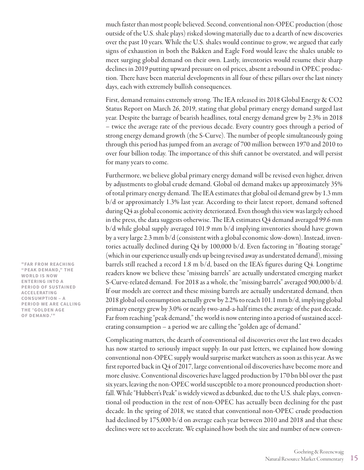much faster than most people believed. Second, conventional non-OPEC production (those outside of the U.S. shale plays) risked slowing materially due to a dearth of new discoveries over the past 10 years. While the U.S. shales would continue to grow, we argued that early signs of exhaustion in both the Bakken and Eagle Ford would leave the shales unable to meet surging global demand on their own. Lastly, inventories would resume their sharp declines in 2019 putting upward pressure on oil prices, absent a rebound in OPEC production. There have been material developments in all four of these pillars over the last ninety days, each with extremely bullish consequences.

First, demand remains extremely strong. The IEA released its 2018 Global Energy & CO2 Status Report on March 26, 2019, stating that global primary energy demand surged last year. Despite the barrage of bearish headlines, total energy demand grew by 2.3% in 2018 – twice the average rate of the previous decade. Every country goes through a period of strong energy demand growth (the S-Curve). The number of people simultaneously going through this period has jumped from an average of 700 million between 1970 and 2010 to over four billion today. The importance of this shift cannot be overstated, and will persist for many years to come.

Furthermore, we believe global primary energy demand will be revised even higher, driven by adjustments to global crude demand. Global oil demand makes up approximately 35% of total primary energy demand. The IEA estimates that global oil demand grew by 1.3 mm b/d or approximately 1.3% last year. According to their latest report, demand softened during Q4 as global economic activity deteriorated. Even though this view was largely echoed in the press, the data suggests otherwise. The IEA estimates Q4 demand averaged 99.6 mm b/d while global supply averaged 101.9 mm b/d implying inventories should have grown by a very large 2.3 mm b/d (consistent with a global economic slow-down). Instead, inventories actually declined during Q4 by 100,000 b/d. Even factoring in "floating storage" (which in our experience usually ends up being revised away as understated demand), missing barrels still reached a record 1.8 m b/d, based on the IEA's figures during Q4. Longtime readers know we believe these "missing barrels" are actually understated emerging market S-Curve-related demand. For 2018 as a whole, the "missing barrels" averaged 900,000 b/d. If our models are correct and these missing barrels are actually understated demand, then 2018 global oil consumption actually grew by 2.2% to reach 101.1 mm b/d, implying global primary energy grew by 3.0% or nearly two-and-a-half times the average of the past decade. Far from reaching "peak demand," the world is now entering into a period of sustained accelerating consumption – a period we are calling the "golden age of demand."

Complicating matters, the dearth of conventional oil discoveries over the last two decades has now started to seriously impact supply. In our past letters, we explained how slowing conventional non-OPEC supply would surprise market watchers as soon as this year. As we first reported back in Q4 of 2017, large conventional oil discoveries have become more and more elusive. Conventional discoveries have lagged production by 170 bn bbl over the past six years, leaving the non-OPEC world susceptible to a more pronounced production shortfall. While "Hubbert's Peak" is widely viewed as debunked, due to the U.S. shale plays, conventional oil production in the rest of non-OPEC has actually been declining for the past decade. In the spring of 2018, we stated that conventional non-OPEC crude production had declined by 175,000 b/d on average each year between 2010 and 2018 and that these declines were set to accelerate. We explained how both the size and number of new conven-

**"FAR FROM REACHING "PEAK DEMAND," THE WORLD IS NOW ENTERING INTO A PERIOD OF SUSTAINED ACCELERATING CONSUMPTION – A PERIOD WE ARE CALLING THE 'GOLDEN AGE OF DEMAND.'"**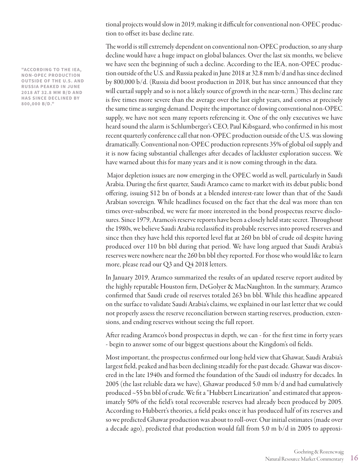tional projects would slow in 2019, making it difficult for conventional non-OPEC production to offset its base decline rate.

The world is still extremely dependent on conventional non-OPEC production, so any sharp decline would have a huge impact on global balances. Over the last six months, we believe we have seen the beginning of such a decline. According to the IEA, non-OPEC production outside of the U.S. and Russia peaked in June 2018 at 32.8 mm b/d and has since declined by 800,000 b/d. (Russia did boost production in 2018, but has since announced that they will curtail supply and so is not a likely source of growth in the near-term.) This decline rate is five times more severe than the average over the last eight years, and comes at precisely the same time as surging demand. Despite the importance of slowing conventional non-OPEC supply, we have not seen many reports referencing it. One of the only executives we have heard sound the alarm is Schlumberger's CEO, Paul Kibsgaard, who confirmed in his most recent quarterly conference call that non-OPEC production outside of the U.S. was slowing dramatically. Conventional non-OPEC production represents 35% of global oil supply and it is now facing substantial challenges after decades of lackluster exploration success. We have warned about this for many years and it is now coming through in the data.

 Major depletion issues are now emerging in the OPEC world as well, particularly in Saudi Arabia. During the first quarter, Saudi Aramco came to market with its debut public bond offering, issuing \$12 bn of bonds at a blended interest-rate lower than that of the Saudi Arabian sovereign. While headlines focused on the fact that the deal was more than ten times over-subscribed, we were far more interested in the bond prospectus reserve disclosures. Since 1979, Aramco's reserve reports have been a closely held state secret. Throughout the 1980s, we believe Saudi Arabia reclassified its probable reserves into proved reserves and since then they have held this reported level flat at 260 bn bbl of crude oil despite having produced over 110 bn bbl during that period. We have long argued that Saudi Arabia's reserves were nowhere near the 260 bn bbl they reported. For those who would like to learn more, please read our Q3 and Q4 2018 letters.

In January 2019, Aramco summarized the results of an updated reserve report audited by the highly reputable Houston firm, DeGolyer & MacNaughton. In the summary, Aramco confirmed that Saudi crude oil reserves totaled 263 bn bbl. While this headline appeared on the surface to validate Saudi Arabia's claims, we explained in our last letter that we could not properly assess the reserve reconciliation between starting reserves, production, extensions, and ending reserves without seeing the full report.

After reading Aramco's bond prospectus in depth, we can - for the first time in forty years - begin to answer some of our biggest questions about the Kingdom's oil fields.

Most important, the prospectus confirmed our long-held view that Ghawar, Saudi Arabia's largest field, peaked and has been declining steadily for the past decade. Ghawar was discovered in the late 1940s and formed the foundation of the Saudi oil industry for decades. In 2005 (the last reliable data we have), Ghawar produced 5.0 mm b/d and had cumulatively produced ~55 bn bbl of crude. We fit a "Hubbert Linearization" and estimated that approximately 50% of the field's total recoverable reserves had already been produced by 2005. According to Hubbert's theories, a field peaks once it has produced half of its reserves and so we predicted Ghawar production was about to roll-over. Our initial estimates (made over a decade ago), predicted that production would fall from 5.0 m b/d in 2005 to approxi-

**"ACCORDING TO THE IEA, NON-OPEC PRODUCTION OUTSIDE OF THE U.S. AND RUSSIA PEAKED IN JUNE 2018 AT 32.8 MM B/D AND HAS SINCE DECLINED BY 800,000 B/D."**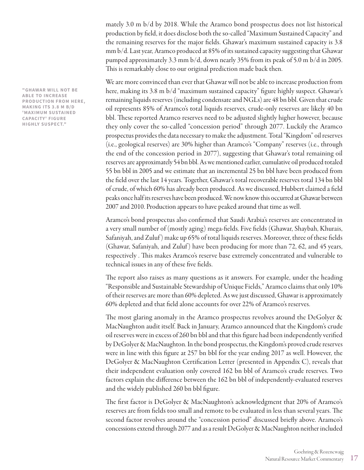mately 3.0 m b/d by 2018. While the Aramco bond prospectus does not list historical production by field, it does disclose both the so-called "Maximum Sustained Capacity" and the remaining reserves for the major fields. Ghawar's maximum sustained capacity is 3.8 mm b/d. Last year, Aramco produced at 85% of its sustained capacity suggesting that Ghawar pumped approximately 3.3 mm b/d, down nearly 35% from its peak of 5.0 m b/d in 2005. This is remarkably close to our original prediction made back then.

We are more convinced than ever that Ghawar will not be able to increase production from here, making its 3.8 m b/d "maximum sustained capacity" figure highly suspect. Ghawar's remaining liquids reserves (including condensate and NGLs) are 48 bn bbl. Given that crude oil represents 85% of Aramco's total liquids reserves, crude-only reserves are likely 40 bn bbl. These reported Aramco reserves need to be adjusted slightly higher however, because they only cover the so-called "concession period" through 2077. Luckily the Aramco prospectus provides the data necessary to make the adjustment. Total "Kingdom" oil reserves (i.e., geological reserves) are 30% higher than Aramco's "Company" reserves (i.e., through the end of the concession period in 2077), suggesting that Ghawar's total remaining oil reserves are approximately 54 bn bbl. As we mentioned earlier, cumulative oil produced totaled 55 bn bbl in 2005 and we estimate that an incremental 25 bn bbl have been produced from the field over the last 14 years. Together, Ghawar's total recoverable reserves total 134 bn bbl of crude, of which 60% has already been produced. As we discussed, Hubbert claimed a field peaks once half its reserves have been produced. We now know this occurred at Ghawar between 2007 and 2010. Production appears to have peaked around that time as well.

Aramco's bond prospectus also confirmed that Saudi Arabia's reserves are concentrated in a very small number of (mostly aging) mega-fields. Five fields (Ghawar, Shaybah, Khurais, Safaniyah, and Zuluf) make up 65% of total liquids reserves. Moreover, three of these fields (Ghawar, Safaniyah, and Zuluf) have been producing for more than 72, 62, and 45 years, respectively . This makes Aramco's reserve base extremely concentrated and vulnerable to technical issues in any of these five fields.

The report also raises as many questions as it answers. For example, under the heading "Responsible and Sustainable Stewardship of Unique Fields," Aramco claims that only 10% of their reserves are more than 60% depleted. As we just discussed, Ghawar is approximately 60% depleted and that field alone accounts for over 22% of Aramco's reserves.

The most glaring anomaly in the Aramco prospectus revolves around the DeGolyer & MacNaughton audit itself. Back in January, Aramco announced that the Kingdom's crude oil reserves were in excess of 260 bn bbl and that this figure had been independently verified by DeGolyer & MacNaughton. In the bond prospectus, the Kingdom's proved crude reserves were in line with this figure at 257 bn bbl for the year ending 2017 as well. However, the DeGolyer & MacNaughton Certification Letter (presented in Appendix C), reveals that their independent evaluation only covered 162 bn bbl of Aramco's crude reserves. Two factors explain the difference between the 162 bn bbl of independently-evaluated reserves and the widely published 260 bn bbl figure.

The first factor is DeGolyer & MacNaughton's acknowledgment that 20% of Aramco's reserves are from fields too small and remote to be evaluated in less than several years. The second factor revolves around the "concession period" discussed briefly above. Aramco's concessions extend through 2077 and as a result DeGolyer & MacNaughton neither included

**"GHAWAR WILL NOT BE ABLE TO INCREASE PRODUCTION FROM HERE, MAKING ITS 3.8 M B/D 'MAXIMUM SUSTAINED CAPACITY' FIGURE HIGHLY SUSPECT."**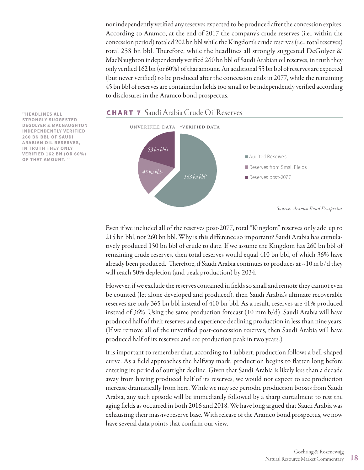nor independently verified any reserves expected to be produced after the concession expires. According to Aramco, at the end of 2017 the company's crude reserves (i.e., within the concession period) totaled 202 bn bbl while the Kingdom's crude reserves (i.e., total reserves) total 258 bn bbl. Therefore, while the headlines all strongly suggested DeGolyer & MacNaughton independently verified 260 bn bbl of Saudi Arabian oil reserves, in truth they only verified 162 bn (or 60%) of that amount. An additional 55 bn bbl of reserves are expected (but never verified) to be produced after the concession ends in 2077, while the remaining 45 bn bbl of reserves are contained in fields too small to be independently verified according to disclosures in the Aramco bond prospectus.



### CHART 7 Saudi Arabia Crude Oil Reserves

Even if we included all of the reserves post-2077, total "Kingdom" reserves only add up to 215 bn bbl, not 260 bn bbl. Why is this difference so important? Saudi Arabia has cumulatively produced 150 bn bbl of crude to date. If we assume the Kingdom has 260 bn bbl of remaining crude reserves, then total reserves would equal 410 bn bbl, of which 36% have already been produced. Therefore, if Saudi Arabia continues to produces at  $\sim$ 10 m b/d they will reach 50% depletion (and peak production) by 2034.

However, if we exclude the reserves contained in fields so small and remote they cannot even be counted (let alone developed and produced), then Saudi Arabia's ultimate recoverable reserves are only 365 bn bbl instead of 410 bn bbl. As a result, reserves are 41% produced instead of 36%. Using the same production forecast (10 mm b/d), Saudi Arabia will have produced half of their reserves and experience declining production in less than nine years. (If we remove all of the unverified post-concession reserves, then Saudi Arabia will have produced half of its reserves and see production peak in two years.)

It is important to remember that, according to Hubbert, production follows a bell-shaped curve. As a field approaches the halfway mark, production begins to flatten long before entering its period of outright decline. Given that Saudi Arabia is likely less than a decade away from having produced half of its reserves, we would not expect to see production increase dramatically from here. While we may see periodic production boosts from Saudi Arabia, any such episode will be immediately followed by a sharp curtailment to rest the aging fields as occurred in both 2016 and 2018. We have long argued that Saudi Arabia was exhausting their massive reserve base. With release of the Aramco bond prospectus, we now have several data points that confirm our view.

**"HEADLINES ALL STRONGLY SUGGESTED DEGOLYER & MACNAUGHTON INDEPENDENTLY VERIFIED 260 BN BBL OF SAUDI ARABIAN OIL RESERVES, IN TRUTH THEY ONLY VERIFIED 162 BN (OR 60%) OF THAT AMOUNT. "**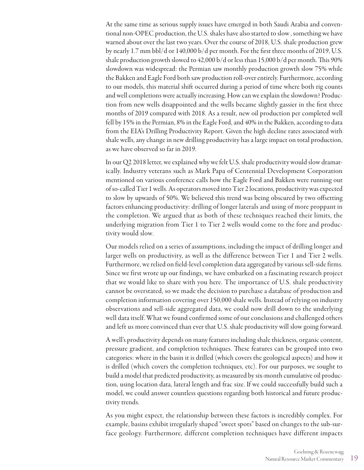At the same time as serious supply issues have emerged in both Saudi Arabia and conventional non-OPEC production, the U.S. shales have also started to slow , something we have warned about over the last two years. Over the course of 2018, U.S. shale production grew by nearly 1.7 mm bbl/d or 140,000 b/d per month. For the first three months of 2019, U.S. shale production growth slowed to 42,000 b/d or less than 15,000 b/d per month. This 90% slowdown was widespread: the Permian saw monthly production growth slow 75% while the Bakken and Eagle Ford both saw production roll-over entirely. Furthermore, according to our models, this material shift occurred during a period of time where both rig counts and well completions were actually increasing. How can we explain the slowdown? Production from new wells disappointed and the wells became slightly gassier in the first three months of 2019 compared with 2018. As a result, new oil production per completed well fell by 15% in the Permian, 8% in the Eagle Ford, and 40% in the Bakken, according to data from the EIA's Drilling Productivity Report. Given the high decline rates associated with shale wells, any change in new drilling productivity has a large impact on total production, as we have observed so far in 2019.

In our Q2 2018 letter, we explained why we felt U.S. shale productivity would slow dramatically. Industry veterans such as Mark Papa of Centennial Development Corporation mentioned on various conference calls how the Eagle Ford and Bakken were running out of so-called Tier 1 wells. As operators moved into Tier 2 locations, productivity was expected to slow by upwards of 50%. We believed this trend was being obscured by two offsetting factors enhancing productivity: drilling of longer laterals and using of more proppant in the completion. We argued that as both of these techniques reached their limits, the underlying migration from Tier 1 to Tier 2 wells would come to the fore and productivity would slow.

Our models relied on a series of assumptions, including the impact of drilling longer and larger wells on productivity, as well as the difference between Tier 1 and Tier 2 wells. Furthermore, we relied on field-level completion data aggregated by various sell-side firms. Since we first wrote up our findings, we have embarked on a fascinating research project that we would like to share with you here. The importance of U.S. shale productivity cannot be overstated, so we made the decision to purchase a database of production and completion information covering over 150,000 shale wells. Instead of relying on industry observations and sell-side aggregated data, we could now drill down to the underlying well data itself. What we found confirmed some of our conclusions and challenged others and left us more convinced than ever that U.S. shale productivity will slow going forward.

A well's productivity depends on many features including shale thickness, organic content, pressure gradient, and completion techniques. These features can be grouped into two categories: where in the basin it is drilled (which covers the geological aspects) and how it is drilled (which covers the completion techniques, etc). For our purposes, we sought to build a model that predicted productivity, as measured by six-month cumulative oil production, using location data, lateral length and frac size. If we could successfully build such a model, we could answer countless questions regarding both historical and future productivity trends.

As you might expect, the relationship between these factors is incredibly complex. For example, basins exhibit irregularly shaped "sweet spots" based on changes to the sub-surface geology. Furthermore, different completion techniques have different impacts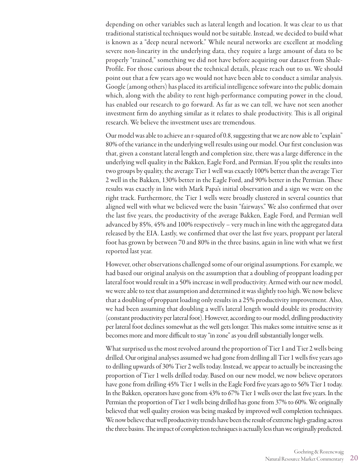depending on other variables such as lateral length and location. It was clear to us that traditional statistical techniques would not be suitable. Instead, we decided to build what is known as a "deep neural network." While neural networks are excellent at modeling severe non-linearity in the underlying data, they require a large amount of data to be properly "trained," something we did not have before acquiring our dataset from Shale-Profile. For those curious about the technical details, please reach out to us. We should point out that a few years ago we would not have been able to conduct a similar analysis. Google (among others) has placed its artificial intelligence software into the public domain which, along with the ability to rent high-performance computing power in the cloud, has enabled our research to go forward. As far as we can tell, we have not seen another investment firm do anything similar as it relates to shale productivity. This is all original research. We believe the investment uses are tremendous.

Our model was able to achieve an r-squared of 0.8, suggesting that we are now able to "explain" 80% of the variance in the underlying well results using our model. Our first conclusion was that, given a constant lateral length and completion size, there was a large difference in the underlying well quality in the Bakken, Eagle Ford, and Permian. If you split the results into two groups by quality, the average Tier 1 well was exactly 100% better than the average Tier 2 well in the Bakken, 130% better in the Eagle Ford, and 90% better in the Permian. These results was exactly in line with Mark Papa's initial observation and a sign we were on the right track. Furthermore, the Tier 1 wells were broadly clustered in several counties that aligned well with what we believed were the basin "fairways." We also confirmed that over the last five years, the productivity of the average Bakken, Eagle Ford, and Permian well advanced by 85%, 45% and 100% respectively – very much in line with the aggregated data released by the EIA. Lastly, we confirmed that over the last five years, proppant per lateral foot has grown by between 70 and 80% in the three basins, again in line with what we first reported last year.

However, other observations challenged some of our original assumptions. For example, we had based our original analysis on the assumption that a doubling of proppant loading per lateral foot would result in a 50% increase in well productivity. Armed with our new model, we were able to test that assumption and determined it was slightly too high. We now believe that a doubling of proppant loading only results in a 25% productivity improvement. Also, we had been assuming that doubling a well's lateral length would double its productivity (constant productivity per lateral foot). However, according to our model, drilling productivity per lateral foot declines somewhat as the well gets longer. This makes some intuitive sense as it becomes more and more difficult to stay "in zone" as you drill substantially longer wells.

What surprised us the most revolved around the proportion of Tier 1 and Tier 2 wells being drilled. Our original analyses assumed we had gone from drilling all Tier 1 wells five years ago to drilling upwards of 30% Tier 2 wells today. Instead, we appear to actually be increasing the proportion of Tier 1 wells drilled today. Based on our new model, we now believe operators have gone from drilling 45% Tier 1 wells in the Eagle Ford five years ago to 56% Tier 1 today. In the Bakken, operators have gone from 43% to 67% Tier 1 wells over the last five years. In the Permian the proportion of Tier 1 wells being drilled has gone from 37% to 60%. We originally believed that well quality erosion was being masked by improved well completion techniques. We now believe that well productivity trends have been the result of extreme high-grading across the three basins. The impact of completion techniques is actually less than we originally predicted.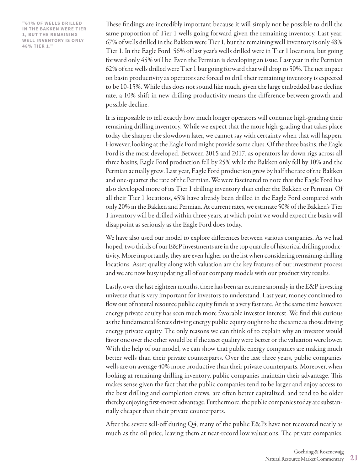**"67% OF WELLS DRILLED IN THE BAKKEN WERE TIER 1, BUT THE REMAINING WELL INVENTORY IS ONLY 48% TIER 1."**

These findings are incredibly important because it will simply not be possible to drill the same proportion of Tier 1 wells going forward given the remaining inventory. Last year, 67% of wells drilled in the Bakken were Tier 1, but the remaining well inventory is only 48% Tier 1. In the Eagle Ford, 56% of last year's wells drilled were in Tier 1 locations, but going forward only 45% will be. Even the Permian is developing an issue. Last year in the Permian 62% of the wells drilled were Tier 1 but going forward that will drop to 50%. The net impact on basin productivity as operators are forced to drill their remaining inventory is expected to be 10-15%. While this does not sound like much, given the large embedded base decline rate, a 10% shift in new drilling productivity means the difference between growth and possible decline.

It is impossible to tell exactly how much longer operators will continue high-grading their remaining drilling inventory. While we expect that the more high-grading that takes place today the sharper the slowdown later, we cannot say with certainty when that will happen. However, looking at the Eagle Ford might provide some clues. Of the three basins, the Eagle Ford is the most developed. Between 2015 and 2017, as operators lay down rigs across all three basins, Eagle Ford production fell by 25% while the Bakken only fell by 10% and the Permian actually grew. Last year, Eagle Ford production grew by half the rate of the Bakken and one-quarter the rate of the Permian. We were fascinated to note that the Eagle Ford has also developed more of its Tier 1 drilling inventory than either the Bakken or Permian. Of all their Tier 1 locations, 45% have already been drilled in the Eagle Ford compared with only 20% in the Bakken and Permian. At current rates, we estimate 50% of the Bakken's Tier 1 inventory will be drilled within three years, at which point we would expect the basin will disappoint as seriously as the Eagle Ford does today.

We have also used our model to explore differences between various companies. As we had hoped, two thirds of our E&P investments are in the top quartile of historical drilling productivity. More importantly, they are even higher on the list when considering remaining drilling locations. Asset quality along with valuation are the key features of our investment process and we are now busy updating all of our company models with our productivity results.

Lastly, over the last eighteen months, there has been an extreme anomaly in the E&P investing universe that is very important for investors to understand. Last year, money continued to flow out of natural resource public equity funds at a very fast rate. At the same time however, energy private equity has seen much more favorable investor interest. We find this curious as the fundamental forces driving energy public equity ought to be the same as those driving energy private equity. The only reasons we can think of to explain why an investor would favor one over the other would be if the asset quality were better or the valuation were lower. With the help of our model, we can show that public energy companies are making much better wells than their private counterparts. Over the last three years, public companies' wells are on average 40% more productive than their private counterparts. Moreover, when looking at remaining drilling inventory, public companies maintain their advantage. This makes sense given the fact that the public companies tend to be larger and enjoy access to the best drilling and completion crews, are often better capitalized, and tend to be older thereby enjoying first-mover advantage. Furthermore, the public companies today are substantially cheaper than their private counterparts.

After the severe sell-off during Q4, many of the public E&Ps have not recovered nearly as much as the oil price, leaving them at near-record low valuations. The private companies,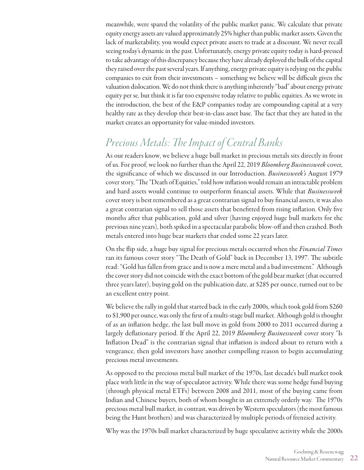meanwhile, were spared the volatility of the public market panic. We calculate that private equity energy assets are valued approximately 25% higher than public market assets. Given the lack of marketability, you would expect private assets to trade at a discount. We never recall seeing today's dynamic in the past. Unfortunately, energy private equity today is hard-pressed to take advantage of this discrepancy because they have already deployed the bulk of the capital they raised over the past several years. If anything, energy private equity is relying on the public companies to exit from their investments – something we believe will be difficult given the valuation dislocation. We do not think there is anything inherently "bad" about energy private equity per se, but think it is far too expensive today relative to public equities. As we wrote in the introduction, the best of the E&P companies today are compounding capital at a very healthy rate as they develop their best-in-class asset base. The fact that they are hated in the market creates an opportunity for value-minded investors.

# *Precious Metals: The Impact of Central Banks*

As our readers know, we believe a huge bull market in precious metals sits directly in front of us. For proof, we look no further than the April 22, 2019 *Bloomberg Businessweek* cover, the significance of which we discussed in our Introduction. *Businessweek's* August 1979 cover story, "The "Death of Equities," told how inflation would remain an intractable problem and hard assets would continue to outperform financial assets. While that *Businessweek*  cover story is best remembered as a great contrarian signal to buy financial assets, it was also a great contrarian signal to sell those assets that benefitted from rising inflation. Only five months after that publication, gold and silver (having enjoyed huge bull markets for the previous nine years), both spiked in a spectacular parabolic blow-off and then crashed. Both metals entered into huge bear markets that ended some 22 years later.

On the flip side, a huge buy signal for precious metals occurred when the *Financial Times* ran its famous cover story "The Death of Gold" back in December 13, 1997. The subtitle read: "Gold has fallen from grace and is now a mere metal and a bad investment." Although the cover story did not coincide with the exact bottom of the gold bear market (that occurred three years later), buying gold on the publication date, at \$285 per ounce, turned out to be an excellent entry point.

We believe the rally in gold that started back in the early 2000s, which took gold from \$260 to \$1,900 per ounce, was only the first of a multi-stage bull market. Although gold is thought of as an inflation hedge, the last bull move in gold from 2000 to 2011 occurred during a largely deflationary period. If the April 22, 2019 *Bloomberg Businessweek* cover story "Is Inflation Dead" is the contrarian signal that inflation is indeed about to return with a vengeance, then gold investors have another compelling reason to begin accumulating precious metal investments.

As opposed to the precious metal bull market of the 1970s, last decade's bull market took place with little in the way of speculator activity. While there was some hedge fund buying (through physical metal ETFs) between 2008 and 2011, most of the buying came from Indian and Chinese buyers, both of whom bought in an extremely orderly way. The 1970s precious metal bull market, in contrast, was driven by Western speculators (the most famous being the Hunt brothers) and was characterized by multiple periods of frenzied activity.

Why was the 1970s bull market characterized by huge speculative activity while the 2000s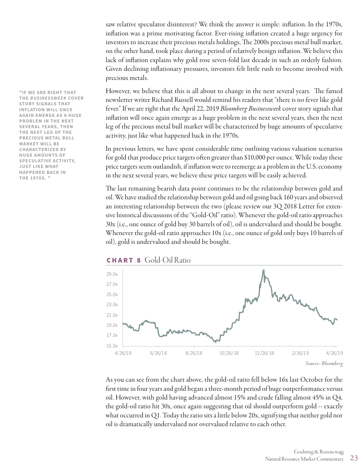saw relative speculator disinterest? We think the answer is simple: inflation. In the 1970s, inflation was a prime motivating factor. Ever-rising inflation created a huge urgency for investors to increase their precious metals holdings, The 2000s precious metal bull market, on the other hand, took place during a period of relatively benign inflation. We believe this lack of inflation explains why gold rose seven-fold last decade in such an orderly fashion. Given declining inflationary pressures, investors felt little rush to become involved with precious metals.

However, we believe that this is all about to change in the next several years. The famed newsletter writer Richard Russell would remind his readers that "there is no fever like gold fever." If we are right that the April 22, 2019 *Bloomberg Businessweek* cover story signals that inflation will once again emerge as a huge problem in the next several years, then the next leg of the precious metal bull market will be characterized by huge amounts of speculative activity, just like what happened back in the 1970s.

In previous letters, we have spent considerable time outlining various valuation scenarios for gold that produce price targets often greater than \$10,000 per ounce. While today these price targets seem outlandish, if inflation were to reemerge as a problem in the U.S. economy in the next several years, we believe these price targets will be easily achieved.

The last remaining bearish data point continues to be the relationship between gold and oil. We have studied the relationship between gold and oil going back 160 years and observed an interesting relationship between the two (please review our 3Q 2018 Letter for extensive historical discussions of the "Gold-Oil" ratio). Whenever the gold-oil ratio approaches 30x (i.e., one ounce of gold buy 30 barrels of oil), oil is undervalued and should be bought. Whenever the gold-oil ratio approaches 10x (i.e., one ounce of gold only buys 10 barrels of oil), gold is undervalued and should be bought.



As you can see from the chart above, the gold-oil ratio fell below 16x last October for the first time in four years and gold began a three-month period of huge outperformance versus oil. However, with gold having advanced almost 15% and crude falling almost 45% in Q4, the gold-oil ratio hit 30x, once again suggesting that oil should outperform gold -- exactly what occurred in Q1. Today the ratio sits a little below 20x, signifying that neither gold nor oil is dramatically undervalued nor overvalued relative to each other.

**"IF WE ARE RIGHT THAT THE** *BUSINESSWEEK* **COVER STORY SIGNALS THAT INFLATION WILL ONCE AGAIN EMERGE AS A HUGE PROBLEM IN THE NEXT SEVERAL YEARS, THEN THE NEXT LEG OF THE PRECIOUS METAL BULL MARKET WILL BE CHARACTERIZED BY HUGE AMOUNTS OF SPECULATIVE ACTIVITY, JUST LIKE WHAT HAPPENED BACK IN THE 1970S. "**

### CHART 8 Gold-Oil Ratio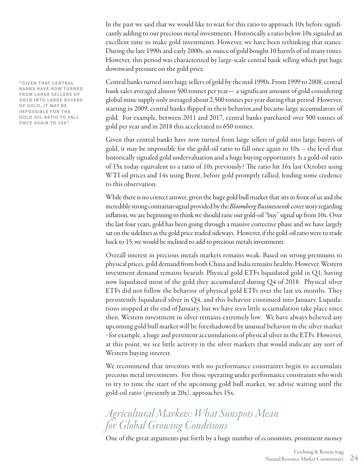In the past we said that we would like to wait for this ratio to approach 10x before significantly adding to our precious metal investments. Historically a ratio below 10x signaled an excellent time to make gold investments. However, we have been rethinking that stance. During the late 1990s and early 2000s, an ounce of gold bought 10 barrels of oil many times. However, this period was characterized by large-scale central bank selling which put huge downward pressure on the gold price.

Central banks turned into huge sellers of gold by the mid 1990s. From 1999 to 2008, central bank sales averaged almost 500 tonnes per year— a significant amount of gold considering global mine supply only averaged about 2,500 tonnes per year during that period. However, starting in 2009, central banks flipped in their behavior,and became large accumulators of gold. For example, between 2011 and 2017, central banks purchased over 500 tonnes of gold per year and in 2018 this accelerated to 650 tonnes.

Given that central banks have now turned from large sellers of gold into large buyers of gold, it may be impossible for the gold-oil ratio to fall once again to 10x -- the level that historically signaled gold undervaluation and a huge buying opportunity. Is a gold-oil ratio of 15x today equivalent to a ratio of 10x previously? The ratio hit 16x last October using WTI oil prices and 14x using Brent, before gold promptly rallied, lending some credence to this observation.

While there is no correct answer, given the huge gold bull market that sits in front of us and the incredibly strong contrarian signal provided by the *Bloomberg Businessweek* cover story regarding inflation, we are beginning to think we should raise our gold-oil "buy" signal up from 10x. Over the last four years, gold has been going through a massive corrective phase and we have largely sat on the sidelines as the gold price traded sideways. However, if the gold-oil ratio were to trade back to 15, we would be inclined to add to precious metals investments.

Overall interest in precious metals markets remains weak. Based on strong premiums to physical prices, gold demand from both China and India remains healthy. However, Western investment demand remains bearish. Physical gold ETFs liquidated gold in Q1, having now liquidated most of the gold they accumulated during Q4 of 2018. Physical silver ETFs did not follow the behavior of physical gold ETFs over the last six months. They persistently liquidated silver in Q4, and this behavior continued into January. Liquidations stopped at the end of January, but we have seen little accumulation take place since then. Western investment in silver remains extremely low. We have always believed any upcoming gold bull market will be foreshadowed by unusual behavior in the silver market - for example, a huge and persistent accumulations of physical silver in the ETFs. However, at this point, we see little activity in the silver markets that would indicate any sort of Western buying interest.

We recommend that investors with no performance constraints begin to accumulate precious metal investments. For those operating under performance constraints who wish to try to time the start of the upcoming gold bull market, we advise waiting until the gold-oil ratio (presently at 20x), approaches 15x.

# *Agricultural Markets: What Sunspots Mean for Global Growing Conditions*

One of the great arguments put forth by a huge number of economists, prominent money

**"GIVEN THAT CENTRAL BANKS HAVE NOW TURNED FROM LARGE SELLERS OF GOLD INTO LARGE BUYERS OF GOLD, IT MAY BE IMPOSSIBLE FOR THE GOLD-OIL RATIO TO FALL ONCE AGAIN TO 10X"**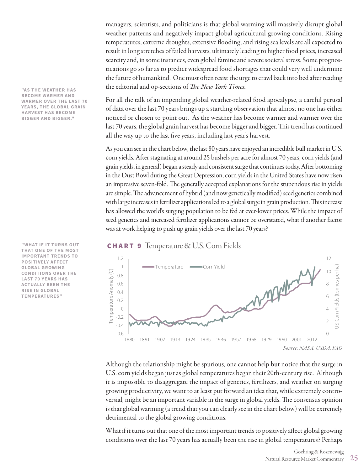managers, scientists, and politicians is that global warming will massively disrupt global weather patterns and negatively impact global agricultural growing conditions. Rising temperatures, extreme droughts, extensive flooding, and rising sea levels are all expected to result in long stretches of failed harvests, ultimately leading to higher food prices, increased scarcity and, in some instances, even global famine and severe societal stress. Some prognostications go so far as to predict widespread food shortages that could very well undermine the future of humankind. One must often resist the urge to crawl back into bed after reading the editorial and op-sections of *The New York Times.*

For all the talk of an impending global weather-related food apocalypse, a careful perusal of data over the last 70 years brings up a startling observation that almost no one has either noticed or chosen to point out. As the weather has become warmer and warmer over the last 70 years, the global grain harvest has become bigger and bigger. This trend has continued all the way up to the last five years, including last year's harvest.

As you can see in the chart below, the last 80 years have enjoyed an incredible bull market in U.S. corn yields. After stagnating at around 25 bushels per acre for almost 70 years, corn yields (and grain yields, in general) began a steady and consistent surge that continues today. After bottoming in the Dust Bowl during the Great Depression, corn yields in the United States have now risen 12 an impressive seven-fold. The generally accepted explanations for the stupendous rise in yields 10 are simple. The advancement of hybrid (and now genetically modified) seed genetics combined with large increases in fertilizer applications led to a global surge in grain production. This increase 8 has allowed the world's surging population to be fed at ever-lower prices. While the impact of 6 seed genetics and increased fertilizer applications cannot be overstated, what if another factor was at work helping to push up grain yields over the last 70 years? us corn yields (top)<br>US Corn Yields (top)<br>US Corn Viel and the per half that

### **CHART 9** Temperature  $\&$  U.S. Corn Fields



Although the relationship might be spurious, one cannot help but notice that the surge in U.S. corn yields began just as global temperatures began their 20th-century rise. Although it is impossible to disaggregate the impact of genetics, fertilizers, and weather on surging growing productivity, we want to at least put forward an idea that, while extremely controversial, might be an important variable in the surge in global yields. The consensus opinion is that global warming (a trend that you can clearly see in the chart below) will be extremely detrimental to the global growing conditions.

What if it turns out that one of the most important trends to positively affect global growing conditions over the last 70 years has actually been the rise in global temperatures? Perhaps

**"AS THE WEATHER HAS BECOME WARMER AND WARMER OVER THE LAST 70 YEARS, THE GLOBAL GRAIN HARVEST HAS BECOME BIGGER AND BIGGER."**

**THAT ONE OF THE MOST** -0.4 **"WHAT IF IT TURNS OUT IMPORTANT TRENDS TO POSITIVELY AFFECT GLOBAL GROWING CONDITIONS OVER THE LAST 70 YEARS HAS ACTUALLY BEEN THE RISE IN GLOBAL TEMPERATURES"**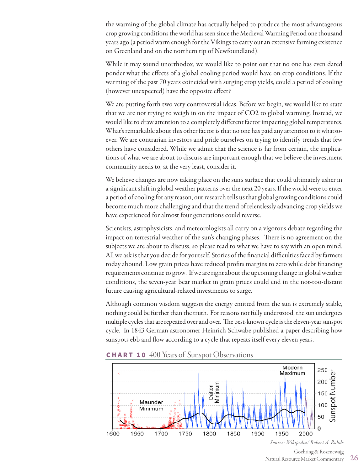the warming of the global climate has actually helped to produce the most advantageous crop growing conditions the world has seen since the Medieval Warming Period one thousand years ago (a period warm enough for the Vikings to carry out an extensive farming existence on Greenland and on the northern tip of Newfoundland).

While it may sound unorthodox, we would like to point out that no one has even dared ponder what the effects of a global cooling period would have on crop conditions. If the warming of the past 70 years coincided with surging crop yields, could a period of cooling (however unexpected) have the opposite effect?

We are putting forth two very controversial ideas. Before we begin, we would like to state that we are not trying to weigh in on the impact of CO2 to global warming. Instead, we would like to draw attention to a completely different factor impacting global temperatures. What's remarkable about this other factor is that no one has paid any attention to it whatsoever. We are contrarian investors and pride ourselves on trying to identify trends that few others have considered. While we admit that the science is far from certain, the implications of what we are about to discuss are important enough that we believe the investment community needs to, at the very least, consider it.

We believe changes are now taking place on the sun's surface that could ultimately usher in a significant shift in global weather patterns over the next 20 years. If the world were to enter a period of cooling for any reason, our research tells us that global growing conditions could become much more challenging and that the trend of relentlessly advancing crop yields we have experienced for almost four generations could reverse.

Scientists, astrophysicists, and meteorologists all carry on a vigorous debate regarding the impact on terrestrial weather of the sun's changing phases. There is no agreement on the subjects we are about to discuss, so please read to what we have to say with an open mind. All we ask is that you decide for yourself. Stories of the financial difficulties faced by farmers today abound. Low grain prices have reduced profits margins to zero while debt financing requirements continue to grow. If we are right about the upcoming change in global weather conditions, the seven-year bear market in grain prices could end in the not-too-distant future causing agricultural-related investments to surge.

Although common wisdom suggests the energy emitted from the sun is extremely stable, nothing could be further than the truth. For reasons not fully understood, the sun undergoes multiple cycles that are repeated over and over. The best-known cycle is the eleven-year sunspot cycle. In 1843 German astronomer Heinrich Schwabe published a paper describing how sunspots ebb and flow according to a cycle that repeats itself every eleven years.



**CHART 10** 400 Years of Sunspot Observations

Goehring & Rozencwajg Natural Resource Market Commentary  $26$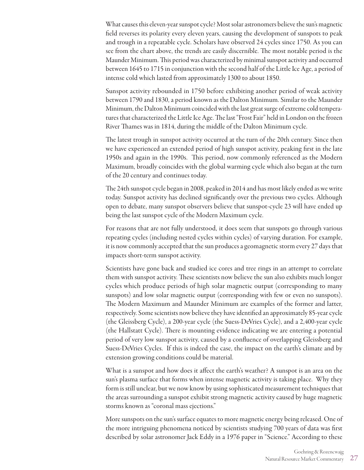What causes this eleven-year sunspot cycle? Most solar astronomers believe the sun's magnetic field reverses its polarity every eleven years, causing the development of sunspots to peak and trough in a repeatable cycle. Scholars have observed 24 cycles since 1750. As you can see from the chart above, the trends are easily discernible. The most notable period is the Maunder Minimum. This period was characterized by minimal sunspot activity and occurred between 1645 to 1715 in conjunction with the second half of the Little Ice Age, a period of intense cold which lasted from approximately 1300 to about 1850.

Sunspot activity rebounded in 1750 before exhibiting another period of weak activity between 1790 and 1830, a period known as the Dalton Minimum. Similar to the Maunder Minimum, the Dalton Minimum coincided with the last great surge of extreme cold temperatures that characterized the Little Ice Age. The last "Frost Fair" held in London on the frozen River Thames was in 1814, during the middle of the Dalton Minimum cycle.

The latest trough in sunspot activity occurred at the turn of the 20th century. Since then we have experienced an extended period of high sunspot activity, peaking first in the late 1950s and again in the 1990s. This period, now commonly referenced as the Modern Maximum, broadly coincides with the global warming cycle which also began at the turn of the 20 century and continues today.

The 24th sunspot cycle began in 2008, peaked in 2014 and has most likely ended as we write today. Sunspot activity has declined significantly over the previous two cycles. Although open to debate, many sunspot observers believe that sunspot-cycle 23 will have ended up being the last sunspot cycle of the Modern Maximum cycle.

For reasons that are not fully understood, it does seem that sunspots go through various repeating cycles (including nested cycles within cycles) of varying duration. For example, it is now commonly accepted that the sun produces a geomagnetic storm every 27 days that impacts short-term sunspot activity.

Scientists have gone back and studied ice cores and tree rings in an attempt to correlate them with sunspot activity. These scientists now believe the sun also exhibits much longer cycles which produce periods of high solar magnetic output (corresponding to many sunspots) and low solar magnetic output (corresponding with few or even no sunspots). The Modern Maximum and Maunder Minimum are examples of the former and latter, respectively. Some scientists now believe they have identified an approximately 85-year cycle (the Gleissberg Cycle), a 200-year cycle (the Suess-DeVries Cycle), and a 2,400-year cycle (the Hallstatt Cycle). There is mounting evidence indicating we are entering a potential period of very low sunspot activity, caused by a confluence of overlapping Gleissberg and Suess-DeVries Cycles. If this is indeed the case, the impact on the earth's climate and by extension growing conditions could be material.

What is a sunspot and how does it affect the earth's weather? A sunspot is an area on the sun's plasma surface that forms when intense magnetic activity is taking place. Why they form is still unclear, but we now know by using sophisticated measurement techniques that the areas surrounding a sunspot exhibit strong magnetic activity caused by huge magnetic storms known as "coronal mass ejections."

More sunspots on the sun's surface equates to more magnetic energy being released. One of the more intriguing phenomena noticed by scientists studying 700 years of data was first described by solar astronomer Jack Eddy in a 1976 paper in "Science." According to these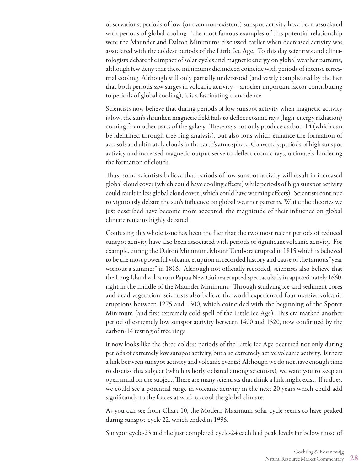observations, periods of low (or even non-existent) sunspot activity have been associated with periods of global cooling. The most famous examples of this potential relationship were the Maunder and Dalton Minimums discussed earlier when decreased activity was associated with the coldest periods of the Little Ice Age. To this day scientists and climatologists debate the impact of solar cycles and magnetic energy on global weather patterns, although few deny that these minimums did indeed coincide with periods of intense terrestrial cooling. Although still only partially understood (and vastly complicated by the fact that both periods saw surges in volcanic activity -- another important factor contributing to periods of global cooling), it is a fascinating coincidence.

Scientists now believe that during periods of low sunspot activity when magnetic activity is low, the sun's shrunken magnetic field fails to deflect cosmic rays (high-energy radiation) coming from other parts of the galaxy. These rays not only produce carbon-14 (which can be identified through tree-ring analysis), but also ions which enhance the formation of aerosols and ultimately clouds in the earth's atmosphere. Conversely, periods of high sunspot activity and increased magnetic output serve to deflect cosmic rays, ultimately hindering the formation of clouds.

Thus, some scientists believe that periods of low sunspot activity will result in increased global cloud cover (which could have cooling effects) while periods of high sunspot activity could result in less global cloud cover (which could have warming effects). Scientists continue to vigorously debate the sun's influence on global weather patterns. While the theories we just described have become more accepted, the magnitude of their influence on global climate remains highly debated.

Confusing this whole issue has been the fact that the two most recent periods of reduced sunspot activity have also been associated with periods of significant volcanic activity. For example, during the Dalton Minimum, Mount Tambora erupted in 1815 which is believed to be the most powerful volcanic eruption in recorded history and cause of the famous "year without a summer" in 1816. Although not officially recorded, scientists also believe that the Long Island volcano in Papua New Guinea erupted spectacularly in approximately 1660, right in the middle of the Maunder Minimum. Through studying ice and sediment cores and dead vegetation, scientists also believe the world experienced four massive volcanic eruptions between 1275 and 1300, which coincided with the beginning of the Sporer Minimum (and first extremely cold spell of the Little Ice Age). This era marked another period of extremely low sunspot activity between 1400 and 1520, now confirmed by the carbon-14 testing of tree rings.

It now looks like the three coldest periods of the Little Ice Age occurred not only during periods of extremely low sunspot activity, but also extremely active volcanic activity. Is there a link between sunspot activity and volcanic events? Although we do not have enough time to discuss this subject (which is hotly debated among scientists), we want you to keep an open mind on the subject. There are many scientists that think a link might exist. If it does, we could see a potential surge in volcanic activity in the next 20 years which could add significantly to the forces at work to cool the global climate.

As you can see from Chart 10, the Modern Maximum solar cycle seems to have peaked during sunspot-cycle 22, which ended in 1996.

Sunspot cycle-23 and the just completed cycle-24 each had peak levels far below those of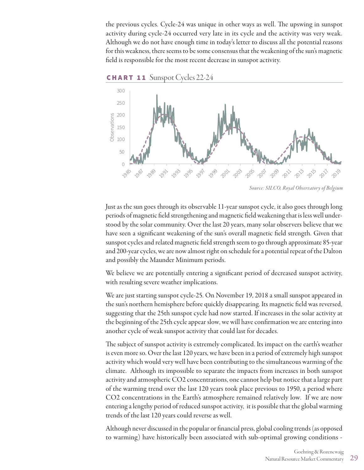the previous cycles. Cycle-24 was unique in other ways as well. The upswing in sunspot activity during cycle-24 occurred very late in its cycle and the activity was very weak. Although we do not have enough time in today's letter to discuss all the potential reasons for this weakness, there seems to be some consensus that the weakening of the sun's magnetic field is responsible for the most recent decrease in sunspot activity.



CHART 11 Sunspot Cycles 22-24

Just as the sun goes through its observable 11-year sunspot cycle, it also goes through long periods of magnetic field strengthening and magnetic field weakening that is less well understood by the solar community. Over the last 20 years, many solar observers believe that we have seen a significant weakening of the sun's overall magnetic field strength. Given that sunspot cycles and related magnetic field strength seem to go through approximate 85-year and 200-year cycles, we are now almost right on schedule for a potential repeat of the Dalton and possibly the Maunder Minimum periods.

We believe we are potentially entering a significant period of decreased sunspot activity, with resulting severe weather implications.

We are just starting sunspot cycle-25. On November 19, 2018 a small sunspot appeared in the sun's northern hemisphere before quickly disappearing. Its magnetic field was reversed, suggesting that the 25th sunspot cycle had now started. If increases in the solar activity at the beginning of the 25th cycle appear slow, we will have confirmation we are entering into another cycle of weak sunspot activity that could last for decades.

The subject of sunspot activity is extremely complicated. Its impact on the earth's weather is even more so. Over the last 120 years, we have been in a period of extremely high sunspot activity which would very well have been contributing to the simultaneous warming of the climate. Although its impossible to separate the impacts from increases in both sunspot activity and atmospheric CO2 concentrations, one cannot help but notice that a large part of the warming trend over the last 120 years took place previous to 1950, a period where CO2 concentrations in the Earth's atmosphere remained relatively low. If we are now entering a lengthy period of reduced sunspot activity, it is possible that the global warming trends of the last 120 years could reverse as well.

Although never discussed in the popular or financial press, global cooling trends (as opposed to warming) have historically been associated with sub-optimal growing conditions -

*Source: SILCO, Royal Observatory of Belgium*